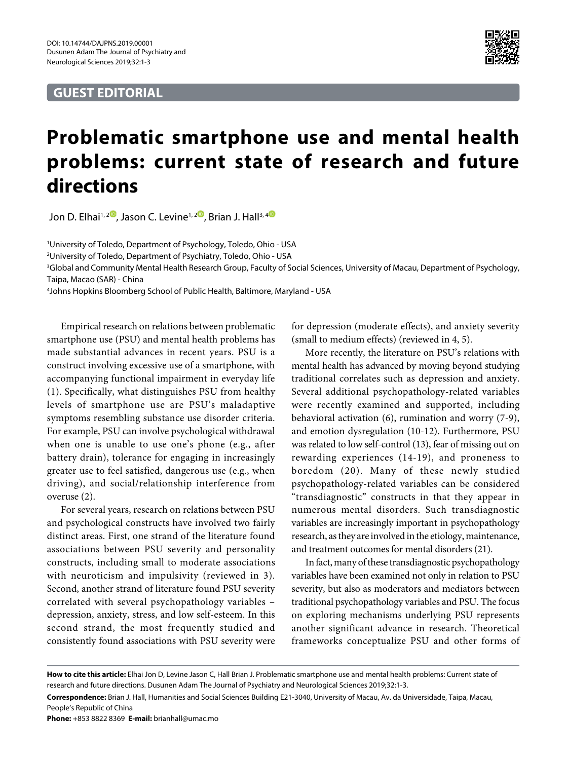## **GUEST EDITORIAL**



## **Problematic smartphone use and mental health problems: current state of research and future directions**

Jon D. Elhai<sup>1,[2](https://orcid.org/0000-0001-7424-5519)</sup>, Jason C. Levine<sup>1,2</sup>, Brian J. Hall<sup>3,[4](https://orcid.org/0000-0001-9358-2377)</sub></sup>

1 University of Toledo, Department of Psychology, Toledo, Ohio - USA

2 University of Toledo, Department of Psychiatry, Toledo, Ohio - USA

3 Global and Community Mental Health Research Group, Faculty of Social Sciences, University of Macau, Department of Psychology, Taipa, Macao (SAR) - China

4 Johns Hopkins Bloomberg School of Public Health, Baltimore, Maryland - USA

Empirical research on relations between problematic smartphone use (PSU) and mental health problems has made substantial advances in recent years. PSU is a construct involving excessive use of a smartphone, with accompanying functional impairment in everyday life (1). Specifically, what distinguishes PSU from healthy levels of smartphone use are PSU's maladaptive symptoms resembling substance use disorder criteria. For example, PSU can involve psychological withdrawal when one is unable to use one's phone (e.g., after battery drain), tolerance for engaging in increasingly greater use to feel satisfied, dangerous use (e.g., when driving), and social/relationship interference from overuse (2).

For several years, research on relations between PSU and psychological constructs have involved two fairly distinct areas. First, one strand of the literature found associations between PSU severity and personality constructs, including small to moderate associations with neuroticism and impulsivity (reviewed in 3). Second, another strand of literature found PSU severity correlated with several psychopathology variables – depression, anxiety, stress, and low self-esteem. In this second strand, the most frequently studied and consistently found associations with PSU severity were

for depression (moderate effects), and anxiety severity (small to medium effects) (reviewed in 4, 5).

More recently, the literature on PSU's relations with mental health has advanced by moving beyond studying traditional correlates such as depression and anxiety. Several additional psychopathology-related variables were recently examined and supported, including behavioral activation (6), rumination and worry (7-9), and emotion dysregulation (10-12). Furthermore, PSU was related to low self-control (13), fear of missing out on rewarding experiences (14-19), and proneness to boredom (20). Many of these newly studied psychopathology-related variables can be considered "transdiagnostic" constructs in that they appear in numerous mental disorders. Such transdiagnostic variables are increasingly important in psychopathology research, as they are involved in the etiology, maintenance, and treatment outcomes for mental disorders (21).

In fact, many of these transdiagnostic psychopathology variables have been examined not only in relation to PSU severity, but also as moderators and mediators between traditional psychopathology variables and PSU. The focus on exploring mechanisms underlying PSU represents another significant advance in research. Theoretical frameworks conceptualize PSU and other forms of

**Phone:** +853 8822 8369 **E-mail:** brianhall@umac.mo

**How to cite this article:** Elhai Jon D, Levine Jason C, Hall Brian J. Problematic smartphone use and mental health problems: Current state of research and future directions. Dusunen Adam The Journal of Psychiatry and Neurological Sciences 2019;32:1-3.

**Correspondence:** Brian J. Hall, Humanities and Social Sciences Building E21-3040, University of Macau, Av. da Universidade, Taipa, Macau, People's Republic of China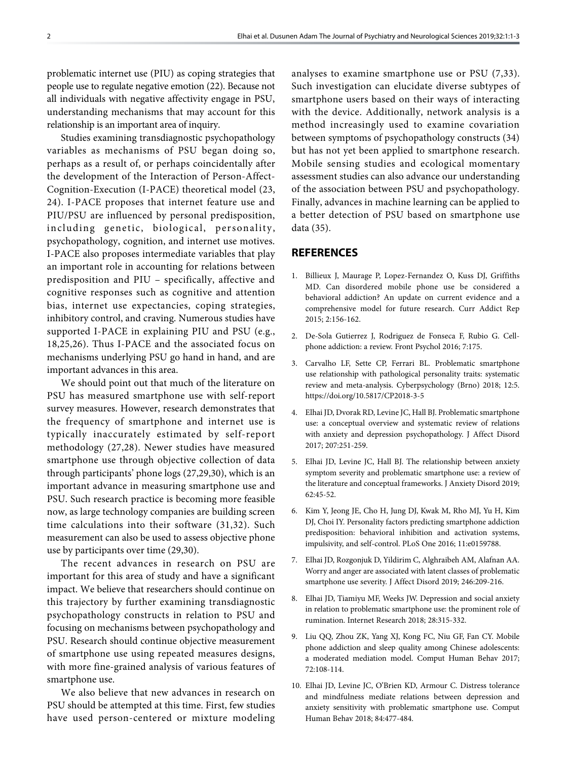problematic internet use (PIU) as coping strategies that people use to regulate negative emotion (22). Because not all individuals with negative affectivity engage in PSU, understanding mechanisms that may account for this relationship is an important area of inquiry.

Studies examining transdiagnostic psychopathology variables as mechanisms of PSU began doing so, perhaps as a result of, or perhaps coincidentally after the development of the Interaction of Person-Affect-Cognition-Execution (I-PACE) theoretical model (23, 24). I-PACE proposes that internet feature use and PIU/PSU are influenced by personal predisposition, including genetic, biological, personality, psychopathology, cognition, and internet use motives. I-PACE also proposes intermediate variables that play an important role in accounting for relations between predisposition and PIU – specifically, affective and cognitive responses such as cognitive and attention bias, internet use expectancies, coping strategies, inhibitory control, and craving. Numerous studies have supported I-PACE in explaining PIU and PSU (e.g., 18,25,26). Thus I-PACE and the associated focus on mechanisms underlying PSU go hand in hand, and are important advances in this area.

We should point out that much of the literature on PSU has measured smartphone use with self-report survey measures. However, research demonstrates that the frequency of smartphone and internet use is typically inaccurately estimated by self-report methodology (27,28). Newer studies have measured smartphone use through objective collection of data through participants' phone logs (27,29,30), which is an important advance in measuring smartphone use and PSU. Such research practice is becoming more feasible now, as large technology companies are building screen time calculations into their software (31,32). Such measurement can also be used to assess objective phone use by participants over time (29,30).

The recent advances in research on PSU are important for this area of study and have a significant impact. We believe that researchers should continue on this trajectory by further examining transdiagnostic psychopathology constructs in relation to PSU and focusing on mechanisms between psychopathology and PSU. Research should continue objective measurement of smartphone use using repeated measures designs, with more fine-grained analysis of various features of smartphone use.

We also believe that new advances in research on PSU should be attempted at this time. First, few studies have used person-centered or mixture modeling

analyses to examine smartphone use or PSU (7,33). Such investigation can elucidate diverse subtypes of smartphone users based on their ways of interacting with the device. Additionally, network analysis is a method increasingly used to examine covariation between symptoms of psychopathology constructs (34) but has not yet been applied to smartphone research. Mobile sensing studies and ecological momentary assessment studies can also advance our understanding of the association between PSU and psychopathology. Finally, advances in machine learning can be applied to a better detection of PSU based on smartphone use data (35).

## **REFERENCES**

- 1. Billieux J, Maurage P, Lopez-Fernandez O, Kuss DJ, Griffiths MD. Can disordered mobile phone use be considered a behavioral addiction? An update on current evidence and a comprehensive model for future research. Curr Addict Rep 2015; 2:156-162.
- 2. De-Sola Gutierrez J, Rodriguez de Fonseca F, Rubio G. Cellphone addiction: a review. Front Psychol 2016; 7:175.
- 3. Carvalho LF, Sette CP, Ferrari BL. Problematic smartphone use relationship with pathological personality traits: systematic review and meta-analysis. Cyberpsychology (Brno) 2018; 12:5. https://doi.org/10.5817/CP2018-3-5
- 4. Elhai JD, Dvorak RD, Levine JC, Hall BJ. Problematic smartphone use: a conceptual overview and systematic review of relations with anxiety and depression psychopathology. J Affect Disord 2017; 207:251-259.
- 5. Elhai JD, Levine JC, Hall BJ. The relationship between anxiety symptom severity and problematic smartphone use: a review of the literature and conceptual frameworks. J Anxiety Disord 2019; 62:45-52.
- 6. Kim Y, Jeong JE, Cho H, Jung DJ, Kwak M, Rho MJ, Yu H, Kim DJ, Choi IY. Personality factors predicting smartphone addiction predisposition: behavioral inhibition and activation systems, impulsivity, and self-control. PLoS One 2016; 11:e0159788.
- 7. Elhai JD, Rozgonjuk D, Yildirim C, Alghraibeh AM, Alafnan AA. Worry and anger are associated with latent classes of problematic smartphone use severity. J Affect Disord 2019; 246:209-216.
- 8. Elhai JD, Tiamiyu MF, Weeks JW. Depression and social anxiety in relation to problematic smartphone use: the prominent role of rumination. Internet Research 2018; 28:315-332.
- 9. Liu QQ, Zhou ZK, Yang XJ, Kong FC, Niu GF, Fan CY. Mobile phone addiction and sleep quality among Chinese adolescents: a moderated mediation model. Comput Human Behav 2017; 72:108-114.
- 10. Elhai JD, Levine JC, O'Brien KD, Armour C. Distress tolerance and mindfulness mediate relations between depression and anxiety sensitivity with problematic smartphone use. Comput Human Behav 2018; 84:477-484.